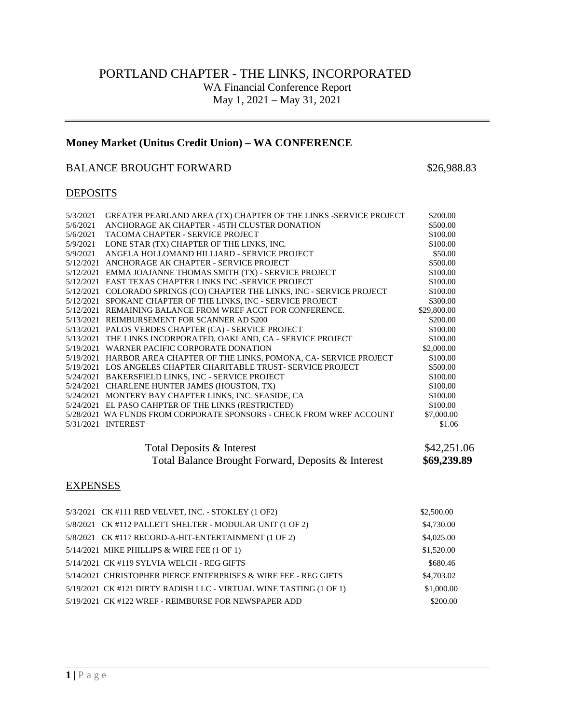# PORTLAND CHAPTER - THE LINKS, INCORPORATED WA Financial Conference Report May 1, 2021 – May 31, 2021

# **Money Market (Unitus Credit Union) – WA CONFERENCE**

#### BALANCE BROUGHT FORWARD \$26,988.83

### **DEPOSITS**

| 5/3/2021  | GREATER PEARLAND AREA (TX) CHAPTER OF THE LINKS -SERVICE PROJECT         | \$200.00    |
|-----------|--------------------------------------------------------------------------|-------------|
| 5/6/2021  | ANCHORAGE AK CHAPTER - 45TH CLUSTER DONATION                             | \$500.00    |
| 5/6/2021  | TACOMA CHAPTER - SERVICE PROJECT                                         | \$100.00    |
| 5/9/2021  | LONE STAR (TX) CHAPTER OF THE LINKS, INC.                                | \$100.00    |
| 5/9/2021  | ANGELA HOLLOMAND HILLIARD - SERVICE PROJECT                              | \$50.00     |
|           | 5/12/2021 ANCHORAGE AK CHAPTER - SERVICE PROJECT                         | \$500.00    |
|           | 5/12/2021 EMMA JOAJANNE THOMAS SMITH (TX) - SERVICE PROJECT              | \$100.00    |
|           | 5/12/2021 EAST TEXAS CHAPTER LINKS INC -SERVICE PROJECT                  | \$100.00    |
|           | 5/12/2021 COLORADO SPRINGS (CO) CHAPTER THE LINKS, INC - SERVICE PROJECT | \$100.00    |
| 5/12/2021 | SPOKANE CHAPTER OF THE LINKS, INC - SERVICE PROJECT                      | \$300.00    |
|           | 5/12/2021 REMAINING BALANCE FROM WREF ACCT FOR CONFERENCE.               | \$29,800.00 |
|           | 5/13/2021 REIMBURSEMENT FOR SCANNER AD \$200                             | \$200.00    |
|           | 5/13/2021 PALOS VERDES CHAPTER (CA) - SERVICE PROJECT                    | \$100.00    |
|           | 5/13/2021 THE LINKS INCORPORATED, OAKLAND, CA - SERVICE PROJECT          | \$100.00    |
|           | 5/19/2021 WARNER PACIFIC CORPORATE DONATION                              | \$2,000.00  |
|           | 5/19/2021 HARBOR AREA CHAPTER OF THE LINKS, POMONA, CA- SERVICE PROJECT  | \$100.00    |
|           | 5/19/2021 LOS ANGELES CHAPTER CHARITABLE TRUST- SERVICE PROJECT          | \$500.00    |
|           | 5/24/2021 BAKERSFIELD LINKS, INC - SERVICE PROJECT                       | \$100.00    |
|           | 5/24/2021 CHARLENE HUNTER JAMES (HOUSTON, TX)                            | \$100.00    |
|           | 5/24/2021 MONTERY BAY CHAPTER LINKS, INC. SEASIDE, CA                    | \$100.00    |
|           | 5/24/2021 EL PASO CAHPTER OF THE LINKS (RESTRICTED)                      | \$100.00    |
|           | 5/28/2021 WA FUNDS FROM CORPORATE SPONSORS - CHECK FROM WREF ACCOUNT     | \$7,000.00  |
|           | 5/31/2021 INTEREST                                                       | \$1.06      |
|           |                                                                          |             |
|           |                                                                          |             |

### Total Deposits & Interest \$42,251.06<br>Total Balance Brought Forward, Deposits & Interest \$69,239.89 Total Balance Brought Forward, Deposits & Interest

### **EXPENSES**

| 5/3/2021 CK #111 RED VELVET, INC. - STOKLEY (1 OF2)                | \$2,500.00 |
|--------------------------------------------------------------------|------------|
| 5/8/2021 CK #112 PALLETT SHELTER - MODULAR UNIT (1 OF 2)           | \$4,730.00 |
| 5/8/2021 CK #117 RECORD-A-HIT-ENTERTAINMENT (1 OF 2)               | \$4,025.00 |
| $5/14/2021$ MIKE PHILLIPS & WIRE FEE $(1$ OF 1)                    | \$1,520.00 |
| 5/14/2021 CK #119 SYLVIA WELCH - REG GIFTS                         | \$680.46   |
| 5/14/2021 CHRISTOPHER PIERCE ENTERPRISES & WIRE FEE - REG GIFTS    | \$4,703.02 |
| 5/19/2021 CK #121 DIRTY RADISH LLC - VIRTUAL WINE TASTING (1 OF 1) | \$1,000.00 |
| 5/19/2021 CK #122 WREF - REIMBURSE FOR NEWSPAPER ADD               | \$200.00   |